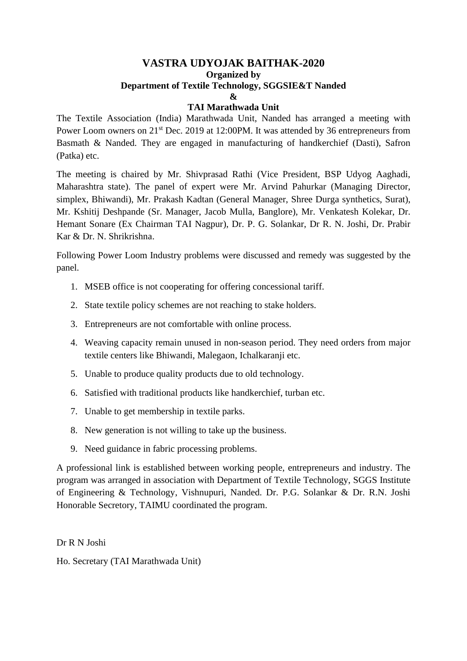## **VASTRA UDYOJAK BAITHAK-2020 Organized by Department of Textile Technology, SGGSIE&T Nanded &**

## **TAI Marathwada Unit**

The Textile Association (India) Marathwada Unit, Nanded has arranged a meeting with Power Loom owners on 21<sup>st</sup> Dec. 2019 at 12:00PM. It was attended by 36 entrepreneurs from Basmath & Nanded. They are engaged in manufacturing of handkerchief (Dasti), Safron (Patka) etc.

The meeting is chaired by Mr. Shivprasad Rathi (Vice President, BSP Udyog Aaghadi, Maharashtra state). The panel of expert were Mr. Arvind Pahurkar (Managing Director, simplex, Bhiwandi), Mr. Prakash Kadtan (General Manager, Shree Durga synthetics, Surat), Mr. Kshitij Deshpande (Sr. Manager, Jacob Mulla, Banglore), Mr. Venkatesh Kolekar, Dr. Hemant Sonare (Ex Chairman TAI Nagpur), Dr. P. G. Solankar, Dr R. N. Joshi, Dr. Prabir Kar & Dr. N. Shrikrishna.

Following Power Loom Industry problems were discussed and remedy was suggested by the panel.

- 1. MSEB office is not cooperating for offering concessional tariff.
- 2. State textile policy schemes are not reaching to stake holders.
- 3. Entrepreneurs are not comfortable with online process.
- 4. Weaving capacity remain unused in non-season period. They need orders from major textile centers like Bhiwandi, Malegaon, Ichalkaranji etc.
- 5. Unable to produce quality products due to old technology.
- 6. Satisfied with traditional products like handkerchief, turban etc.
- 7. Unable to get membership in textile parks.
- 8. New generation is not willing to take up the business.
- 9. Need guidance in fabric processing problems.

A professional link is established between working people, entrepreneurs and industry. The program was arranged in association with Department of Textile Technology, SGGS Institute of Engineering & Technology, Vishnupuri, Nanded. Dr. P.G. Solankar & Dr. R.N. Joshi Honorable Secretory, TAIMU coordinated the program.

Dr R N Joshi

Ho. Secretary (TAI Marathwada Unit)